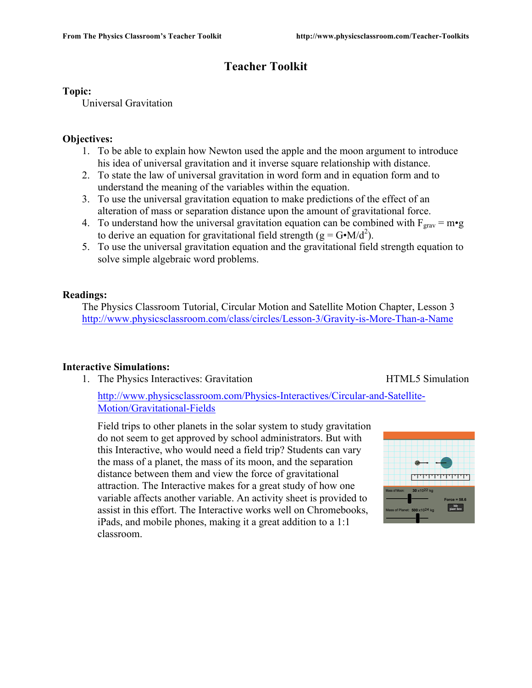# **Teacher Toolkit**

# **Topic:**

Universal Gravitation

# **Objectives:**

- 1. To be able to explain how Newton used the apple and the moon argument to introduce his idea of universal gravitation and it inverse square relationship with distance.
- 2. To state the law of universal gravitation in word form and in equation form and to understand the meaning of the variables within the equation.
- 3. To use the universal gravitation equation to make predictions of the effect of an alteration of mass or separation distance upon the amount of gravitational force.
- 4. To understand how the universal gravitation equation can be combined with  $F_{grav} = m \cdot g$ to derive an equation for gravitational field strength ( $g = G \cdot M/d^2$ ).
- 5. To use the universal gravitation equation and the gravitational field strength equation to solve simple algebraic word problems.

# **Readings:**

The Physics Classroom Tutorial, Circular Motion and Satellite Motion Chapter, Lesson 3 http://www.physicsclassroom.com/class/circles/Lesson-3/Gravity-is-More-Than-a-Name

# **Interactive Simulations:**

1. The Physics Interactives: Gravitation **HTML5** Simulation

http://www.physicsclassroom.com/Physics-Interactives/Circular-and-Satellite-Motion/Gravitational-Fields

Field trips to other planets in the solar system to study gravitation do not seem to get approved by school administrators. But with this Interactive, who would need a field trip? Students can vary the mass of a planet, the mass of its moon, and the separation distance between them and view the force of gravitational attraction. The Interactive makes for a great study of how one variable affects another variable. An activity sheet is provided to assist in this effort. The Interactive works well on Chromebooks, iPads, and mobile phones, making it a great addition to a 1:1 classroom.

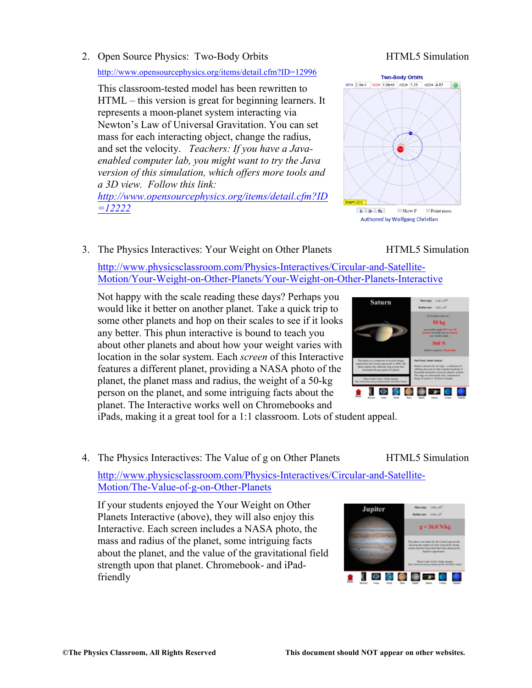2. Open Source Physics: Two-Body Orbits HTML5 Simulation

### http://www.opensourcephysics.org/items/detail.cfm?ID=12996

This classroom-tested model has been rewritten to HTML – this version is great for beginning learners. It represents a moon-planet system interacting via Newton's Law of Universal Gravitation. You can set mass for each interacting object, change the radius, and set the velocity. *Teachers: If you have a Javaenabled computer lab, you might want to try the Java version of this simulation, which offers more tools and a 3D view. Follow this link:* 

*http://www.opensourcephysics.org/items/detail.cfm?ID =12222*

# 3. The Physics Interactives: Your Weight on Other Planets HTML5 Simulation

http://www.physicsclassroom.com/Physics-Interactives/Circular-and-Satellite-Motion/Your-Weight-on-Other-Planets/Your-Weight-on-Other-Planets-Interactive

Not happy with the scale reading these days? Perhaps you would like it better on another planet. Take a quick trip to some other planets and hop on their scales to see if it looks any better. This phun interactive is bound to teach you about other planets and about how your weight varies with location in the solar system. Each *screen* of this Interactive features a different planet, providing a NASA photo of the planet, the planet mass and radius, the weight of a 50-kg person on the planet, and some intriguing facts about the planet. The Interactive works well on Chromebooks and

iPads, making it a great tool for a 1:1 classroom. Lots of student appeal.

4. The Physics Interactives: The Value of g on Other Planets HTML5 Simulation

http://www.physicsclassroom.com/Physics-Interactives/Circular-and-Satellite-Motion/The-Value-of-g-on-Other-Planets

If your students enjoyed the Your Weight on Other Planets Interactive (above), they will also enjoy this Interactive. Each screen includes a NASA photo, the mass and radius of the planet, some intriguing facts about the planet, and the value of the gravitational field strength upon that planet. Chromebook- and iPadfriendly





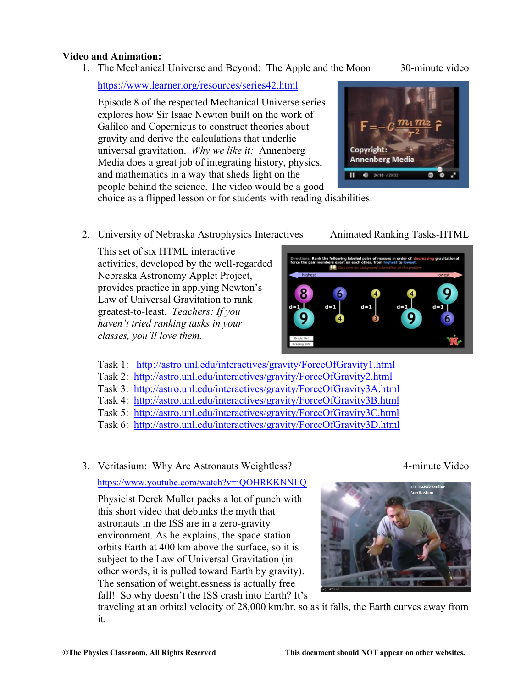#### **Video and Animation:**

1. The Mechanical Universe and Beyond: The Apple and the Moon 30-minute video

https://www.learner.org/resources/series42.html

Episode 8 of the respected Mechanical Universe series explores how Sir Isaac Newton built on the work of Galileo and Copernicus to construct theories about gravity and derive the calculations that underlie universal gravitation. *Why we like it:* Annenberg Media does a great job of integrating history, physics, and mathematics in a way that sheds light on the people behind the science. The video would be a good



choice as a flipped lesson or for students with reading disabilities.

2. University of Nebraska Astrophysics Interactives Animated Ranking Tasks-HTML

This set of six HTML interactive activities, developed by the well-regarded Nebraska Astronomy Applet Project, provides practice in applying Newton's Law of Universal Gravitation to rank greatest-to-least. *Teachers: If you haven't tried ranking tasks in your classes, you'll love them.*

- s: Rank the following labeled pairs of m 6
- Task 1: http://astro.unl.edu/interactives/gravity/ForceOfGravity1.html
- Task 2: http://astro.unl.edu/interactives/gravity/ForceOfGravity2.html
- Task 3: http://astro.unl.edu/interactives/gravity/ForceOfGravity3A.html
- Task 4: http://astro.unl.edu/interactives/gravity/ForceOfGravity3B.html
- Task 5: http://astro.unl.edu/interactives/gravity/ForceOfGravity3C.html
- Task 6: http://astro.unl.edu/interactives/gravity/ForceOfGravity3D.html
- 3. Veritasium: Why Are Astronauts Weightless? 4-minute Video

### https://www.youtube.com/watch?v=iQOHRKKNNLQ

Physicist Derek Muller packs a lot of punch with this short video that debunks the myth that astronauts in the ISS are in a zero-gravity environment. As he explains, the space station orbits Earth at 400 km above the surface, so it is subject to the Law of Universal Gravitation (in other words, it is pulled toward Earth by gravity). The sensation of weightlessness is actually free fall! So why doesn't the ISS crash into Earth? It's



traveling at an orbital velocity of 28,000 km/hr, so as it falls, the Earth curves away from it.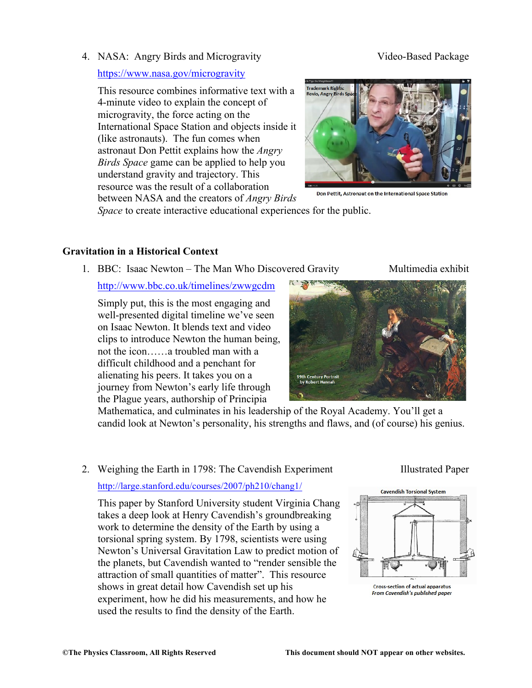4. NASA: Angry Birds and Microgravity Video-Based Package

# https://www.nasa.gov/microgravity

This resource combines informative text with a 4-minute video to explain the concept of microgravity, the force acting on the International Space Station and objects inside it (like astronauts). The fun comes when astronaut Don Pettit explains how the *Angry Birds Space* game can be applied to help you understand gravity and trajectory. This resource was the result of a collaboration between NASA and the creators of *Angry Birds* 



Don Pettit, Astronaut on the International Space Station

*Space* to create interactive educational experiences for the public.

# **Gravitation in a Historical Context**

1. BBC: Isaac Newton – The Man Who Discovered Gravity Multimedia exhibit

# http://www.bbc.co.uk/timelines/zwwgcdm

Simply put, this is the most engaging and well-presented digital timeline we've seen on Isaac Newton. It blends text and video clips to introduce Newton the human being, not the icon……a troubled man with a difficult childhood and a penchant for alienating his peers. It takes you on a journey from Newton's early life through the Plague years, authorship of Principia



Mathematica, and culminates in his leadership of the Royal Academy. You'll get a candid look at Newton's personality, his strengths and flaws, and (of course) his genius.

# 2. Weighing the Earth in 1798: The Cavendish Experiment Illustrated Paper

### http://large.stanford.edu/courses/2007/ph210/chang1/

This paper by Stanford University student Virginia Chang takes a deep look at Henry Cavendish's groundbreaking work to determine the density of the Earth by using a torsional spring system. By 1798, scientists were using Newton's Universal Gravitation Law to predict motion of the planets, but Cavendish wanted to "render sensible the attraction of small quantities of matter". This resource shows in great detail how Cavendish set up his experiment, how he did his measurements, and how he used the results to find the density of the Earth.

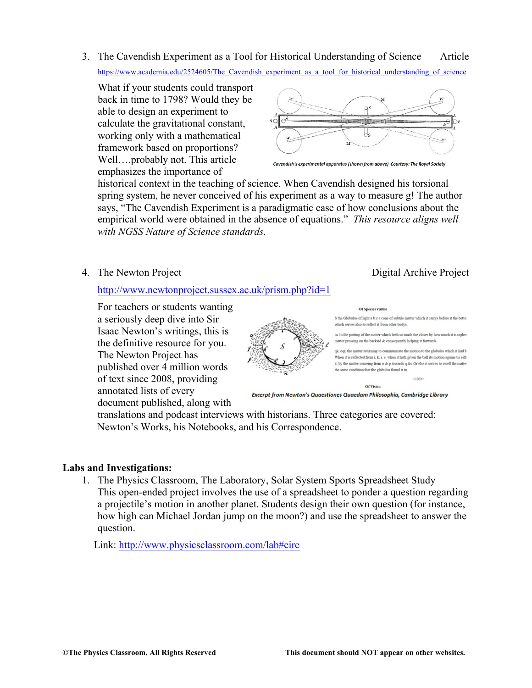3. The Cavendish Experiment as a Tool for Historical Understanding of Science Article https://www.academia.edu/2524605/The\_Cavendish\_experiment\_as\_a\_tool\_for\_historical\_understanding\_of\_science

What if your students could transport back in time to 1798? Would they be able to design an experiment to calculate the gravitational constant, working only with a mathematical framework based on proportions? Well….probably not. This article emphasizes the importance of



historical context in the teaching of science. When Cavendish designed his torsional spring system, he never conceived of his experiment as a way to measure g! The author says, "The Cavendish Experiment is a paradigmatic case of how conclusions about the empirical world were obtained in the absence of equations." *This resource aligns well with NGSS Nature of Science standards.*

4. The Newton Project **Digital Archive Project** Digital Archive Project

http://www.newtonproject.sussex.ac.uk/prism.php?id=1

For teachers or students wanting a seriously deep dive into Sir Isaac Newton's writings, this is the definitive resource for you. The Newton Project has published over 4 million words of text since 2008, providing annotated lists of every document published, along with

Of Species visible S the Globulus of light a b c a cone of subtile matter which it carrys before it the bette which serves also to reflect it from other bodys

m I n the parting of the matter which lieth so much the closer by how much it is nigher matter pressing on the backsid & consequently helping it forwards

qk, oqi, the matter returning to communicate the motion to the globules which it had b When it is reflected from i. k. i. e. when it hath given the ball its motion againe tis eith k, by the matter comeing from o & p towards q &c Or else it serves to swell the matter the same condition that the globulus found it in

Excerpt from Newton's Quaestiones Quaedam Philosophia, Cambridge Library

**Of Vision** 

translations and podcast interviews with historians. Three categories are covered: Newton's Works, his Notebooks, and his Correspondence.

# **Labs and Investigations:**

1. The Physics Classroom, The Laboratory, Solar System Sports Spreadsheet Study This open-ended project involves the use of a spreadsheet to ponder a question regarding a projectile's motion in another planet. Students design their own question (for instance, how high can Michael Jordan jump on the moon?) and use the spreadsheet to answer the question.

Link: http://www.physicsclassroom.com/lab#circ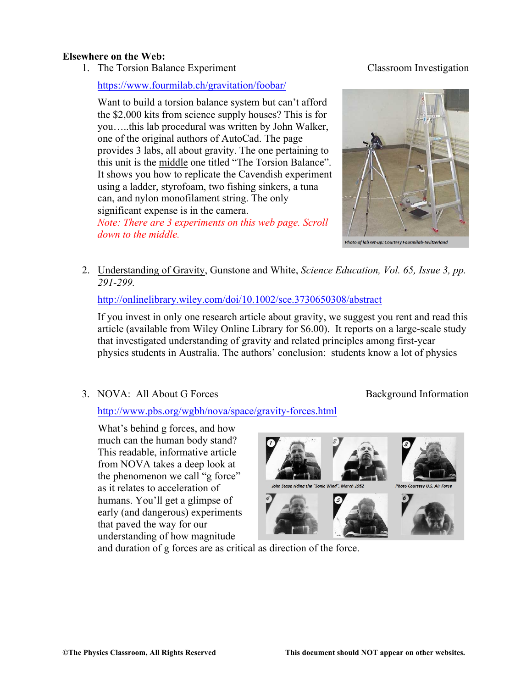#### **Elsewhere on the Web:**

1. The Torsion Balance Experiment Classroom Investigation

https://www.fourmilab.ch/gravitation/foobar/

Want to build a torsion balance system but can't afford the \$2,000 kits from science supply houses? This is for you…..this lab procedural was written by John Walker, one of the original authors of AutoCad. The page provides 3 labs, all about gravity. The one pertaining to this unit is the middle one titled "The Torsion Balance". It shows you how to replicate the Cavendish experiment using a ladder, styrofoam, two fishing sinkers, a tuna can, and nylon monofilament string. The only significant expense is in the camera.

*Note: There are 3 experiments on this web page. Scroll down to the middle.*



2. Understanding of Gravity, Gunstone and White, *Science Education, Vol. 65, Issue 3, pp. 291-299.*

http://onlinelibrary.wiley.com/doi/10.1002/sce.3730650308/abstract

If you invest in only one research article about gravity, we suggest you rent and read this article (available from Wiley Online Library for \$6.00). It reports on a large-scale study that investigated understanding of gravity and related principles among first-year physics students in Australia. The authors' conclusion: students know a lot of physics

3. NOVA: All About G Forces Background Information

http://www.pbs.org/wgbh/nova/space/gravity-forces.html

What's behind g forces, and how much can the human body stand? This readable, informative article from NOVA takes a deep look at the phenomenon we call "g force" as it relates to acceleration of humans. You'll get a glimpse of early (and dangerous) experiments that paved the way for our understanding of how magnitude



and duration of g forces are as critical as direction of the force.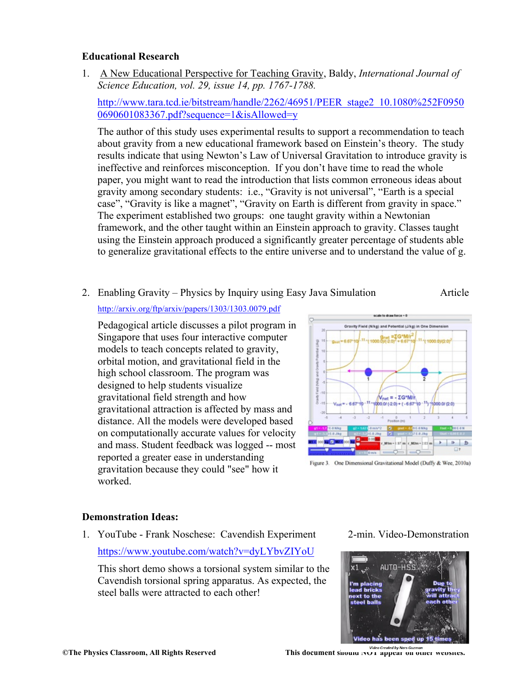# **Educational Research**

1. A New Educational Perspective for Teaching Gravity, Baldy, *International Journal of Science Education, vol. 29, issue 14, pp. 1767-1788.* 

http://www.tara.tcd.ie/bitstream/handle/2262/46951/PEER\_stage2\_10.1080%252F0950 0690601083367.pdf?sequence=1&isAllowed=y

The author of this study uses experimental results to support a recommendation to teach about gravity from a new educational framework based on Einstein's theory. The study results indicate that using Newton's Law of Universal Gravitation to introduce gravity is ineffective and reinforces misconception. If you don't have time to read the whole paper, you might want to read the introduction that lists common erroneous ideas about gravity among secondary students: i.e., "Gravity is not universal", "Earth is a special case", "Gravity is like a magnet", "Gravity on Earth is different from gravity in space." The experiment established two groups: one taught gravity within a Newtonian framework, and the other taught within an Einstein approach to gravity. Classes taught using the Einstein approach produced a significantly greater percentage of students able to generalize gravitational effects to the entire universe and to understand the value of g.

2. Enabling Gravity – Physics by Inquiry using Easy Java Simulation Article

http://arxiv.org/ftp/arxiv/papers/1303/1303.0079.pdf

Pedagogical article discusses a pilot program in Singapore that uses four interactive computer models to teach concepts related to gravity, orbital motion, and gravitational field in the high school classroom. The program was designed to help students visualize gravitational field strength and how gravitational attraction is affected by mass and distance. All the models were developed based on computationally accurate values for velocity and mass. Student feedback was logged -- most reported a greater ease in understanding gravitation because they could "see" how it worked.



Figure 3. One Dimensional Gravitational Model (Duffy & Wee, 2010a)

### **Demonstration Ideas:**

1. YouTube - Frank Noschese: Cavendish Experiment 2-min. Video-Demonstration

https://www.youtube.com/watch?v=dyLYbvZIYoU

This short demo shows a torsional system similar to the Cavendish torsional spring apparatus. As expected, the steel balls were attracted to each other!



**©The Physics Classroom, All Rights Reserved This document should NOT appear on other websites.**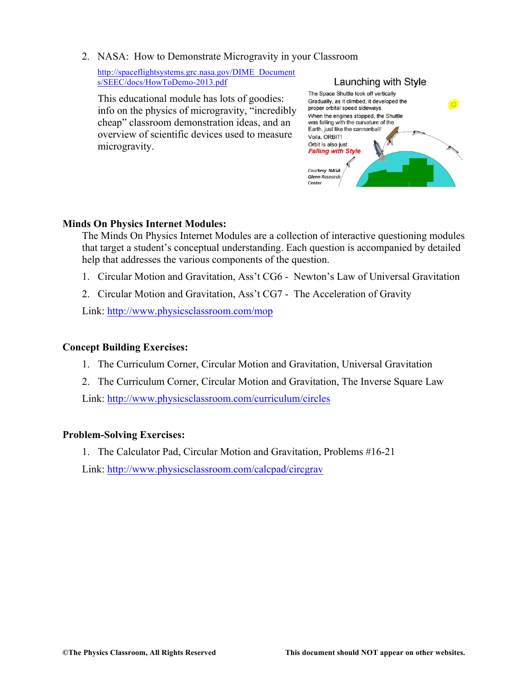2. NASA: How to Demonstrate Microgravity in your Classroom

http://spaceflightsystems.grc.nasa.gov/DIME\_Document s/SEEC/docs/HowToDemo-2013.pdf

This educational module has lots of goodies: info on the physics of microgravity, "incredibly cheap" classroom demonstration ideas, and an overview of scientific devices used to measure microgravity.



# **Minds On Physics Internet Modules:**

The Minds On Physics Internet Modules are a collection of interactive questioning modules that target a student's conceptual understanding. Each question is accompanied by detailed help that addresses the various components of the question.

- 1. Circular Motion and Gravitation, Ass't CG6 Newton's Law of Universal Gravitation
- 2. Circular Motion and Gravitation, Ass't CG7 The Acceleration of Gravity

Link: http://www.physicsclassroom.com/mop

### **Concept Building Exercises:**

- 1. The Curriculum Corner, Circular Motion and Gravitation, Universal Gravitation
- 2. The Curriculum Corner, Circular Motion and Gravitation, The Inverse Square Law

Link: http://www.physicsclassroom.com/curriculum/circles

### **Problem-Solving Exercises:**

1. The Calculator Pad, Circular Motion and Gravitation, Problems #16-21

Link: http://www.physicsclassroom.com/calcpad/circgrav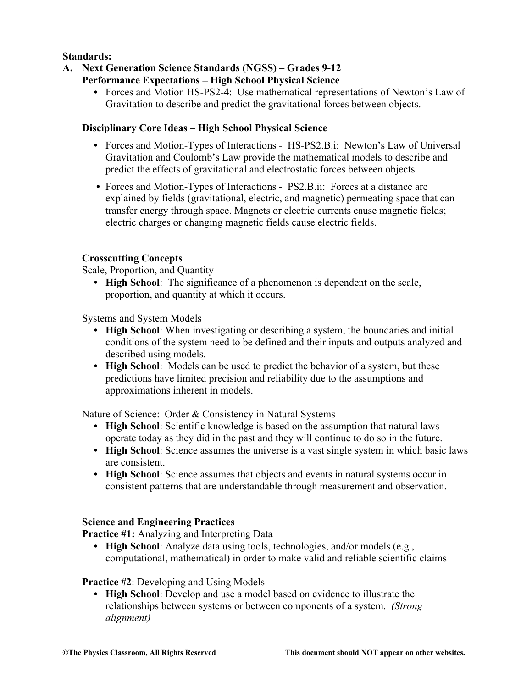# **Standards:**

- **A. Next Generation Science Standards (NGSS) – Grades 9-12**
	- **Performance Expectations – High School Physical Science**
		- **•** Forces and Motion HS-PS2-4: Use mathematical representations of Newton's Law of Gravitation to describe and predict the gravitational forces between objects.

### **Disciplinary Core Ideas – High School Physical Science**

- **•** Forces and Motion-Types of Interactions HS-PS2.B.i: Newton's Law of Universal Gravitation and Coulomb's Law provide the mathematical models to describe and predict the effects of gravitational and electrostatic forces between objects.
- **•** Forces and Motion-Types of Interactions PS2.B.ii: Forces at a distance are explained by fields (gravitational, electric, and magnetic) permeating space that can transfer energy through space. Magnets or electric currents cause magnetic fields; electric charges or changing magnetic fields cause electric fields.

# **Crosscutting Concepts**

Scale, Proportion, and Quantity

**• High School**: The significance of a phenomenon is dependent on the scale, proportion, and quantity at which it occurs.

Systems and System Models

- **High School**: When investigating or describing a system, the boundaries and initial conditions of the system need to be defined and their inputs and outputs analyzed and described using models.
- **• High School**: Models can be used to predict the behavior of a system, but these predictions have limited precision and reliability due to the assumptions and approximations inherent in models.

Nature of Science: Order & Consistency in Natural Systems

- **• High School**: Scientific knowledge is based on the assumption that natural laws operate today as they did in the past and they will continue to do so in the future.
- **High School**: Science assumes the universe is a vast single system in which basic laws are consistent.
- **• High School**: Science assumes that objects and events in natural systems occur in consistent patterns that are understandable through measurement and observation.

### **Science and Engineering Practices**

**Practice #1:** Analyzing and Interpreting Data

**• High School**: Analyze data using tools, technologies, and/or models (e.g., computational, mathematical) in order to make valid and reliable scientific claims

### **Practice #2**: Developing and Using Models

**• High School**: Develop and use a model based on evidence to illustrate the relationships between systems or between components of a system. *(Strong alignment)*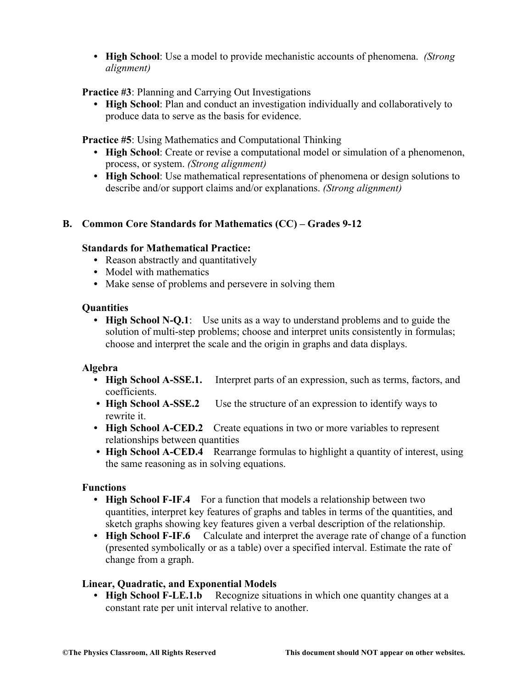**• High School**: Use a model to provide mechanistic accounts of phenomena. *(Strong alignment)*

# **Practice #3**: Planning and Carrying Out Investigations

**• High School**: Plan and conduct an investigation individually and collaboratively to produce data to serve as the basis for evidence.

**Practice #5**: Using Mathematics and Computational Thinking

- **High School**: Create or revise a computational model or simulation of a phenomenon, process, or system. *(Strong alignment)*
- **• High School**: Use mathematical representations of phenomena or design solutions to describe and/or support claims and/or explanations. *(Strong alignment)*

# **B. Common Core Standards for Mathematics (CC) – Grades 9-12**

### **Standards for Mathematical Practice:**

- Reason abstractly and quantitatively
- **•** Model with mathematics
- Make sense of problems and persevere in solving them

### **Quantities**

**• High School N-Q.1**: Use units as a way to understand problems and to guide the solution of multi-step problems; choose and interpret units consistently in formulas; choose and interpret the scale and the origin in graphs and data displays.

### **Algebra**

- **• High School A-SSE.1.** Interpret parts of an expression, such as terms, factors, and coefficients.
- **High School A-SSE.2** Use the structure of an expression to identify ways to rewrite it.
- **• High School A-CED.2** Create equations in two or more variables to represent relationships between quantities
- **High School A-CED.4** Rearrange formulas to highlight a quantity of interest, using the same reasoning as in solving equations.

### **Functions**

- **High School F-IF.4** For a function that models a relationship between two quantities, interpret key features of graphs and tables in terms of the quantities, and sketch graphs showing key features given a verbal description of the relationship.
- **• High School F-IF.6** Calculate and interpret the average rate of change of a function (presented symbolically or as a table) over a specified interval. Estimate the rate of change from a graph.

### **Linear, Quadratic, and Exponential Models**

• **High School F-LE.1.b** Recognize situations in which one quantity changes at a constant rate per unit interval relative to another.